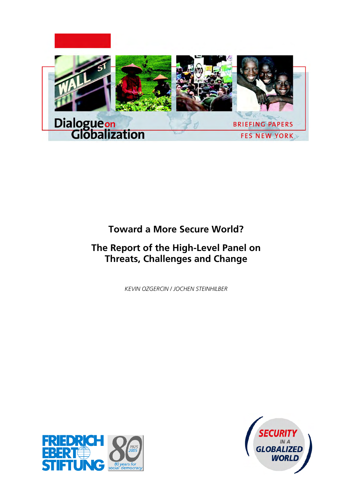

# **Toward a More Secure World?**

# **The Report of the High-Level Panel on Threats, Challenges and Change**

*KEVIN OZGERCIN / JOCHEN STEINHILBER* 



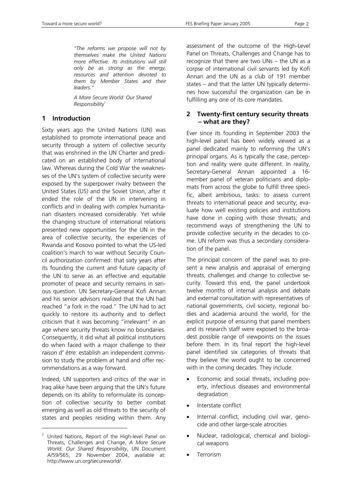*"The reforms we propose will not by themselves make the United Nations more effective. Its institutions will still only be as strong as the energy, resources and attention devoted to them by Member States and their leaders."* 

*A More Secure World: Our Shared Responsibility*<sup>1</sup>

#### **1 Introduction**

Sixty years ago the United Nations (UN) was established to promote international peace and security through a system of collective security that was enshrined in the UN Charter and predicated on an established body of international law. Whereas during the Cold War the weaknesses of the UN's system of collective security were exposed by the superpower rivalry between the United States (US) and the Soviet Union, after it ended the role of the UN in intervening in conflicts and in dealing with complex humanitarian disasters increased considerably. Yet while the changing structure of international relations presented new opportunities for the UN in the area of collective security, the experiences of Rwanda and Kosovo pointed to what the US-led coalition's march to war without Security Council authorization confirmed: that sixty years after its founding the current and future capacity of the UN to serve as an effective and equitable promoter of peace and security remains in serious question. UN Secretary-General Kofi Annan and his senior advisors realized that the UN had reached "a fork in the road." The UN had to act quickly to restore its authority and to deflect criticism that it was becoming "irrelevant" in an age where security threats know no boundaries. Consequently, it did what all political institutions do when faced with a major challenge to their *raison d' être*: establish an independent commission to study the problem at hand and offer recommendations as a way forward.

Indeed, UN supporters and critics of the war in Iraq alike have been arguing that the UN's future depends on its ability to reformulate its conception of collective security to better combat emerging as well as old threats to the security of states and peoples residing within them. Any

 $\overline{a}$ 

assessment of the outcome of the High-Level Panel on Threats, Challenges and Change has to recognize that there are two UNs – the UN as a corpse of international civil servants led by Kofi Annan and the UN as a club of 191 member states – and that the latter UN typically determines how successful the organization can be in fulfilling any one of its core mandates.

## **2 Twenty-first century security threats – what are they?**

Ever since its founding in September 2003 the high-level panel has been widely viewed as a panel dedicated mainly to reforming the UN's principal organs. As is typically the case, perception and reality were quite different. In reality, Secretary-General Annan appointed a 16 member panel of veteran politicians and diplomats from across the globe to fulfill three specific, albeit ambitious, tasks: to assess current threats to international peace and security; evaluate how well existing policies and institutions have done in coping with those threats; and recommend ways of strengthening the UN to provide collective security in the decades to come. UN reform was thus a secondary consideration of the panel.

The principal concern of the panel was to present a new analysis and appraisal of emerging threats, challenges and change to collective security. Toward this end, the panel undertook twelve months of internal analysis and debate and external consultation with representatives of national governments, civil society, regional bodies and academia around the world, for the explicit purpose of ensuring that panel members and its research staff were exposed to the broadest possible range of viewpoints on the issues before them. In its final report the high-level panel identified six categories of threats that they believe the world ought to be concerned with in the coming decades. They include:

- Economic and social threats, including poverty, infectious diseases and environmental degradation
- Interstate conflict
- Internal conflict, including civil war, genocide and other large-scale atrocities
- Nuclear, radiological, chemical and biological weapons
- **Terrorism**

<sup>&</sup>lt;sup>1</sup> United Nations, Report of the High-level Panel on Threats, Challenges and Change, *A More Secure World: Our Shared Responsibility*, UN Document A/59/565, 29 November 2004, available at: http://www.un.org/secureworld/.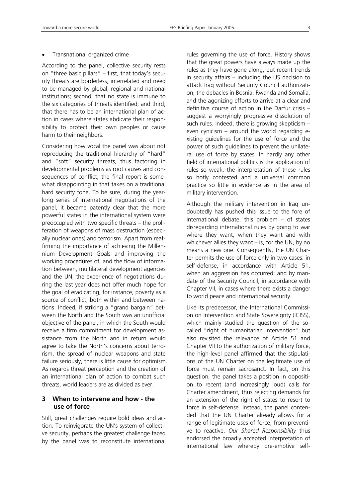#### • Transnational organized crime

According to the panel, collective security rests on "three basic pillars" – first, that today's security threats are borderless, interrelated and need to be managed by global, regional and national institutions; second, that no state is immune to the six categories of threats identified; and third, that there has to be an international plan of action in cases where states abdicate their responsibility to protect their own peoples or cause harm to their neighbors.

Considering how vocal the panel was about not reproducing the traditional hierarchy of "hard" and "soft" security threats, thus factoring in developmental problems as root causes and consequences of conflict, the final report is somewhat disappointing in that takes on a traditional hard security tone. To be sure, during the yearlong series of international negotiations of the panel, it became patently clear that the more powerful states in the international system were preoccupied with two specific threats – the proliferation of weapons of mass destruction (especially nuclear ones) and terrorism. Apart from reaffirming the importance of achieving the Millennium Development Goals and improving the working procedures of, and the flow of information between, multilateral development agencies and the UN, the experience of negotiations during the last year does not offer much hope for the goal of eradicating, for instance, poverty as a source of conflict, both within and between nations. Indeed, if striking a "grand bargain" between the North and the South was an unofficial objective of the panel, in which the South would receive a firm commitment for development assistance from the North and in return would agree to take the North's concerns about terrorism, the spread of nuclear weapons and state failure seriously, there is little cause for optimism. As regards threat perception and the creation of an international plan of action to combat such threats, world leaders are as divided as ever.

## **3 When to intervene and how - the use of force**

Still, great challenges require bold ideas and action. To reinvigorate the UN's system of collective security, perhaps the greatest challenge faced by the panel was to reconstitute international rules governing the use of force. History shows that the great powers have always made up the rules as they have gone along, but recent trends in security affairs – including the US decision to attack Iraq without Security Council authorization, the debacles in Bosnia, Rwanda and Somalia, and the agonizing efforts to arrive at a clear and definitive course of action in the Darfur crisis – suggest a worryingly progressive dissolution of such rules. Indeed, there is growing skepticism – even cynicism – around the world regarding existing guidelines for the use of force and the power of such guidelines to prevent the unilateral use of force by states. In hardly any other field of international politics is the application of rules so weak, the interpretation of these rules so hotly contested and a universal common practice so little in evidence as in the area of military intervention.

Although the military intervention in Iraq undoubtedly has pushed this issue to the fore of international debate, this problem – of states disregarding international rules by going to war where they want, when they want and with whichever allies they want – is, for the UN, by no means a new one. Consequently, the UN Charter permits the use of force only in two cases: in self-defense, in accordance with Article 51, when an aggression has occurred; and by mandate of the Security Council, in accordance with Chapter VII, in cases where there exists a danger to world peace and international security.

Like its predecessor, the International Commission on Intervention and State Sovereignty (ICISS), which mainly studied the question of the socalled "right of humanitarian intervention" but also revisited the relevance of Article 51 and Chapter VII to the authorization of military force, the high-level panel affirmed that the stipulations of the UN Charter on the legitimate use of force must remain sacrosanct. In fact, on this question, the panel takes a position in opposition to recent (and increasingly loud) calls for Charter amendment, thus rejecting demands for an extension of the right of states to resort to force in self-defense. Instead, the panel contended that the UN Charter already allows for a range of legitimate uses of force, from preventive to reactive. *Our Shared Responsibility* thus endorsed the broadly accepted interpretation of international law whereby pre-emptive self-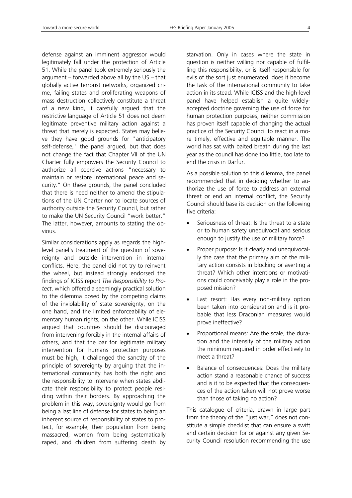defense against an imminent aggressor would legitimately fall under the protection of Article 51. While the panel took extremely seriously the argument – forwarded above all by the US – that globally active terrorist networks, organized crime, failing states and proliferating weapons of mass destruction collectively constitute a threat of a new kind, it carefully argued that the restrictive language of Article 51 does not deem legitimate preventive military action against a threat that merely is expected. States may believe they have good grounds for "anticipatory self-defense," the panel argued, but that does not change the fact that Chapter VII of the UN Charter fully empowers the Security Council to authorize all coercive actions "necessary to maintain or restore international peace and security." On these grounds, the panel concluded that there is need neither to amend the stipulations of the UN Charter nor to locate sources of authority outside the Security Council, but rather to make the UN Security Council "work better." The latter, however, amounts to stating the obvious.

Similar considerations apply as regards the highlevel panel's treatment of the question of sovereignty and outside intervention in internal conflicts. Here, the panel did not try to reinvent the wheel, but instead strongly endorsed the findings of ICISS report *The Responsibility to Protect*, which offered a seemingly practical solution to the dilemma posed by the competing claims of the inviolability of state sovereignty, on the one hand, and the limited enforceability of elementary human rights, on the other. While ICISS argued that countries should be discouraged from intervening forcibly in the internal affairs of others, and that the bar for legitimate military intervention for humans protection purposes must be high, it challenged the sanctity of the principle of sovereignty by arguing that the international community has both the right and the responsibility to intervene when states abdicate their responsibility to protect people residing within their borders. By approaching the problem in this way, sovereignty would go from being a last line of defense for states to being an inherent source of responsibility of states to protect, for example, their population from being massacred, women from being systematically raped, and children from suffering death by

starvation. Only in cases where the state in question is neither willing nor capable of fulfilling this responsibility, or is itself responsible for evils of the sort just enumerated, does it become the task of the international community to take action in its stead. While ICISS and the high-level panel have helped establish a quite widelyaccepted doctrine governing the use of force for human protection purposes, neither commission has proven itself capable of changing the actual practice of the Security Council to react in a more timely, effective and equitable manner. The world has sat with baited breath during the last year as the council has done too little, too late to end the crisis in Darfur.

As a possible solution to this dilemma, the panel recommended that in deciding whether to authorize the use of force to address an external threat or end an internal conflict, the Security Council should base its decision on the following five criteria:

- Seriousness of threat: Is the threat to a state or to human safety unequivocal and serious enough to justify the use of military force?
- Proper purpose: Is it clearly and unequivocally the case that the primary aim of the military action consists in blocking or averting a threat? Which other intentions or motivations could conceivably play a role in the proposed mission?
- Last resort: Has every non-military option been taken into consideration and is it probable that less Draconian measures would prove ineffective?
- Proportional means: Are the scale, the duration and the intensity of the military action the minimum required in order effectively to meet a threat?
- Balance of consequences: Does the military action stand a reasonable chance of success and is it to be expected that the consequences of the action taken will not prove worse than those of taking no action?

This catalogue of criteria, drawn in large part from the theory of the "just war," does not constitute a simple checklist that can ensure a swift and certain decision for or against any given Security Council resolution recommending the use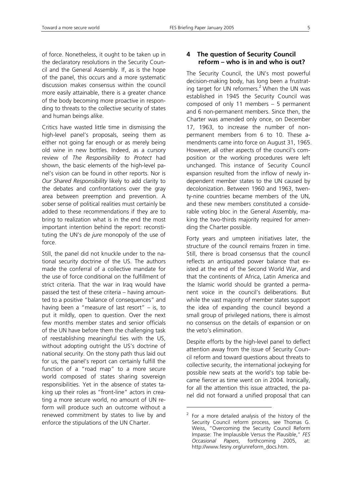of force. Nonetheless, it ought to be taken up in the declaratory resolutions in the Security Council and the General Assembly. If, as is the hope of the panel, this occurs and a more systematic discussion makes consensus within the council more easily attainable, there is a greater chance of the body becoming more proactive in responding to threats to the collective security of states and human beings alike.

Critics have wasted little time in dismissing the high-level panel's proposals, seeing them as either not going far enough or as merely being old wine in new bottles. Indeed, as a cursory review of *The Responsibility to Protect* had shown, the basic elements of the high-level panel's vision can be found in other reports. Nor is *Our Shared Responsibility* likely to add clarity to the debates and confrontations over the gray area between preemption and prevention. A sober sense of political realities must certainly be added to these recommendations if they are to bring to realization what is in the end the most important intention behind the report: reconstituting the UN's *de jure* monopoly of the use of force.

Still, the panel did not knuckle under to the national security doctrine of the US. The authors made the conferral of a collective mandate for the use of force conditional on the fulfillment of strict criteria. That the war in Iraq would have passed the test of these criteria – having amounted to a positive "balance of consequences" and having been a "measure of last resort"  $-$  is, to put it mildly, open to question. Over the next few months member states and senior officials of the UN have before them the challenging task of reestablishing meaningful ties with the US, without adopting outright the US's doctrine of national security. On the stony path thus laid out for us, the panel's report can certainly fulfill the function of a "road map" to a more secure world composed of states sharing sovereign responsibilities. Yet in the absence of states taking up their roles as "front-line" actors in creating a more secure world, no amount of UN reform will produce such an outcome without a renewed commitment by states to live by and enforce the stipulations of the UN Charter.

## **4 The question of Security Council reform – who is in and who is out?**

The Security Council, the UN's most powerful decision-making body, has long been a frustrating target for UN reformers. $2$  When the UN was established in 1945 the Security Council was composed of only 11 members – 5 permanent and 6 non-permanent members. Since then, the Charter was amended only once, on December 17, 1963, to increase the number of nonpermanent members from 6 to 10. These amendments came into force on August 31, 1965. However, all other aspects of the council's composition or the working procedures were left unchanged. This instance of Security Council expansion resulted from the inflow of newly independent member states to the UN caused by decolonization. Between 1960 and 1963, twenty-nine countries became members of the UN, and these new members constituted a considerable voting bloc in the General Assembly, making the two-thirds majority required for amending the Charter possible.

Forty years and umpteen initiatives later, the structure of the council remains frozen in time. Still, there is broad consensus that the council reflects an antiquated power balance that existed at the end of the Second World War, and that the continents of Africa, Latin America and the Islamic world should be granted a permanent voice in the council's deliberations. But while the vast majority of member states support the idea of expanding the council beyond a small group of privileged nations, there is almost no consensus on the details of expansion or on the veto's elimination.

Despite efforts by the high-level panel to deflect attention away from the issue of Security Council reform and toward questions about threats to collective security, the international jockeying for possible new seats at the world's top table became fiercer as time went on in 2004. Ironically, for all the attention this issue attracted, the panel did not forward a unified proposal that can

 $\overline{a}$ 

<sup>2</sup> For a more detailed analysis of the history of the Security Council reform process, see Thomas G. Weiss, "Overcoming the Security Council Reform Impasse: The Implausible Versus the Plausible," *FES Occasional Papers*, forthcoming 2005, at: http://www.fesny.org/unreform\_docs.htm.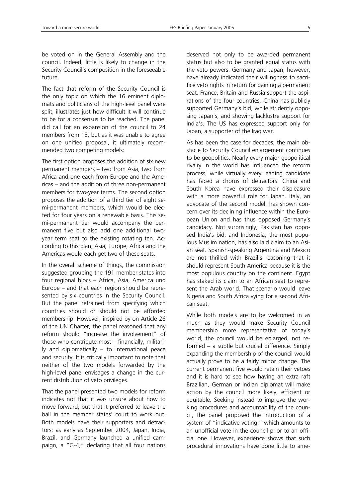be voted on in the General Assembly and the council. Indeed, little is likely to change in the Security Council's composition in the foreseeable future.

The fact that reform of the Security Council is the only topic on which the 16 eminent diplomats and politicians of the high-level panel were split, illustrates just how difficult it will continue to be for a consensus to be reached. The panel did call for an expansion of the council to 24 members from 15, but as it was unable to agree on one unified proposal, it ultimately recommended two competing models:

The first option proposes the addition of six new permanent members – two from Asia, two from Africa and one each from Europe and the Americas – and the addition of three non-permanent members for two-year terms. The second option proposes the addition of a third tier of eight semi-permanent members, which would be elected for four years on a renewable basis. This semi-permanent tier would accompany the permanent five but also add one additional twoyear term seat to the existing rotating ten. According to this plan, Asia, Europe, Africa and the Americas would each get two of these seats.

In the overall scheme of things, the commission suggested grouping the 191 member states into four regional blocs – Africa, Asia, America und Europe – and that each region should be represented by six countries in the Security Council. But the panel refrained from specifying which countries should or should not be afforded membership. However, inspired by on Article 26 of the UN Charter, the panel reasoned that any reform should "increase the involvement" of those who contribute most – financially, militarily and diplomatically – to international peace and security. It is critically important to note that neither of the two models forwarded by the high-level panel envisages a change in the current distribution of veto privileges.

That the panel presented two models for reform indicates not that it was unsure about how to move forward, but that it preferred to leave the ball in the member states' court to work out. Both models have their supporters and detractors: as early as September 2004, Japan, India, Brazil, and Germany launched a unified campaign, a "G-4," declaring that all four nations deserved not only to be awarded permanent status but also to be granted equal status with the veto powers. Germany and Japan, however, have already indicated their willingness to sacrifice veto rights in return for gaining a permanent seat. France, Britain and Russia support the aspirations of the four countries. China has publicly supported Germany's bid, while stridently opposing Japan's, and showing lacklustre support for India's. The US has expressed support only for Japan, a supporter of the Iraq war.

As has been the case for decades, the main obstacle to Security Council enlargement continues to be geopolitics. Nearly every major geopolitical rivalry in the world has influenced the reform process, while virtually every leading candidate has faced a chorus of detractors. China and South Korea have expressed their displeasure with a more powerful role for Japan. Italy, an advocate of the second model, has shown concern over its declining influence within the European Union and has thus opposed Germany's candidacy. Not surprisingly, Pakistan has opposed India's bid, and Indonesia, the most populous Muslim nation, has also laid claim to an Asian seat. Spanish-speaking Argentina and Mexico are not thrilled with Brazil's reasoning that it should represent South America because it is the most populous country on the continent. Egypt has staked its claim to an African seat to represent the Arab world. That scenario would leave Nigeria and South Africa vying for a second African seat.

While both models are to be welcomed in as much as they would make Security Council membership more representative of today's world, the council would be enlarged, not reformed – a subtle but crucial difference. Simply expanding the membership of the council would actually prove to be a fairly minor change. The current permanent five would retain their vetoes and it is hard to see how having an extra raft Brazilian, German or Indian diplomat will make action by the council more likely, efficient or equitable. Seeking instead to improve the working procedures and accountability of the council, the panel proposed the introduction of a system of "indicative voting," which amounts to an unofficial vote in the council prior to an official one. However, experience shows that such procedural innovations have done little to ame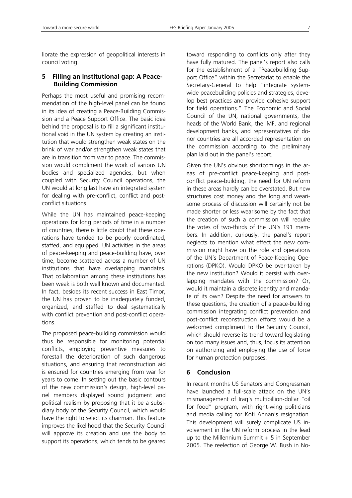liorate the expression of geopolitical interests in council voting.

#### **5 Filling an institutional gap: A Peace-Building Commission**

Perhaps the most useful and promising recommendation of the high-level panel can be found in its idea of creating a Peace-Building Commission and a Peace Support Office. The basic idea behind the proposal is to fill a significant institutional void in the UN system by creating an institution that would strengthen weak states on the brink of war and/or strengthen weak states that are in transition from war to peace. The commission would compliment the work of various UN bodies and specialized agencies, but when coupled with Security Council operations, the UN would at long last have an integrated system for dealing with pre-conflict, conflict and postconflict situations.

While the UN has maintained peace-keeping operations for long periods of time in a number of countries, there is little doubt that these operations have tended to be poorly coordinated, staffed, and equipped. UN activities in the areas of peace-keeping and peace-building have, over time, become scattered across a number of UN institutions that have overlapping mandates. That collaboration among these institutions has been weak is both well known and documented. In fact, besides its recent success in East Timor, the UN has proven to be inadequately funded, organized, and staffed to deal systematically with conflict prevention and post-conflict operations.

The proposed peace-building commission would thus be responsible for monitoring potential conflicts, employing preventive measures to forestall the deterioration of such dangerous situations, and ensuring that reconstruction aid is ensured for countries emerging from war for years to come. In setting out the basic contours of the new commission's design, high-level panel members displayed sound judgment and political realism by proposing that it be a subsidiary body of the Security Council, which would have the right to select its chairman. This feature improves the likelihood that the Security Council will approve its creation and use the body to support its operations, which tends to be geared toward responding to conflicts only after they have fully matured. The panel's report also calls for the establishment of a "Peacebuilding Support Office" within the Secretariat to enable the Secretary-General to help "integrate systemwide peacebuilding policies and strategies, develop best practices and provide cohesive support for field operations." The Economic and Social Council of the UN, national governments, the heads of the World Bank, the IMF, and regional development banks, and representatives of donor countries are all accorded representation on the commission according to the preliminary plan laid out in the panel's report.

Given the UN's obvious shortcomings in the areas of pre-conflict peace-keeping and postconflict peace-building, the need for UN reform in these areas hardly can be overstated. But new structures cost money and the long and wearisome process of discussion will certainly not be made shorter or less wearisome by the fact that the creation of such a commission will require the votes of two-thirds of the UN's 191 members. In addition, curiously, the panel's report neglects to mention what effect the new commission might have on the role and operations of the UN's Department of Peace-Keeping Operations (DPKO). Would DPKO be over-taken by the new institution? Would it persist with overlapping mandates with the commission? Or, would it maintain a discrete identity and mandate of its own? Despite the need for answers to these questions, the creation of a peace-building commission integrating conflict prevention and post-conflict reconstruction efforts would be a welcomed compliment to the Security Council, which should reverse its trend toward legislating on too many issues and, thus, focus its attention on authorizing and employing the use of force for human protection purposes.

## **6 Conclusion**

In recent months US Senators and Congressman have launched a full-scale attack on the UN's mismanagement of Iraq's multibillion-dollar "oil for food" program, with right-wing politicians and media calling for Kofi Annan's resignation. This development will surely complicate US involvement in the UN reform process in the lead up to the Millennium Summit  $+5$  in September 2005. The reelection of George W. Bush in No